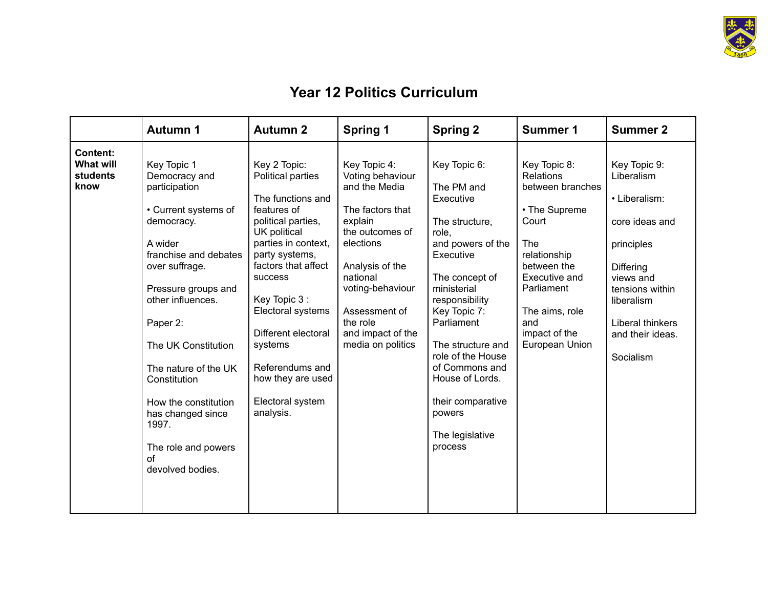

## **Year 12 Politics Curriculum**

|                                                                | <b>Autumn 1</b>                                                                                                                                                                                                                                                                                                                                                         | <b>Autumn 2</b>                                                                                                                                                                                                                                                                                                                        | <b>Spring 1</b>                                                                                                                                                                                                                            | <b>Spring 2</b>                                                                                                                                                                                                                                                                                                                   | <b>Summer 1</b>                                                                                                                                                                                                 | <b>Summer 2</b>                                                                                                                                                                                    |
|----------------------------------------------------------------|-------------------------------------------------------------------------------------------------------------------------------------------------------------------------------------------------------------------------------------------------------------------------------------------------------------------------------------------------------------------------|----------------------------------------------------------------------------------------------------------------------------------------------------------------------------------------------------------------------------------------------------------------------------------------------------------------------------------------|--------------------------------------------------------------------------------------------------------------------------------------------------------------------------------------------------------------------------------------------|-----------------------------------------------------------------------------------------------------------------------------------------------------------------------------------------------------------------------------------------------------------------------------------------------------------------------------------|-----------------------------------------------------------------------------------------------------------------------------------------------------------------------------------------------------------------|----------------------------------------------------------------------------------------------------------------------------------------------------------------------------------------------------|
| <b>Content:</b><br><b>What will</b><br><b>students</b><br>know | Key Topic 1<br>Democracy and<br>participation<br>• Current systems of<br>democracy.<br>A wider<br>franchise and debates<br>over suffrage.<br>Pressure groups and<br>other influences.<br>Paper 2:<br>The UK Constitution<br>The nature of the UK<br>Constitution<br>How the constitution<br>has changed since<br>1997.<br>The role and powers<br>of<br>devolved bodies. | Key 2 Topic:<br>Political parties<br>The functions and<br>features of<br>political parties,<br>UK political<br>parties in context,<br>party systems,<br>factors that affect<br>success<br>Key Topic 3:<br>Electoral systems<br>Different electoral<br>systems<br>Referendums and<br>how they are used<br>Electoral system<br>analysis. | Key Topic 4:<br>Voting behaviour<br>and the Media<br>The factors that<br>explain<br>the outcomes of<br>elections<br>Analysis of the<br>national<br>voting-behaviour<br>Assessment of<br>the role<br>and impact of the<br>media on politics | Key Topic 6:<br>The PM and<br>Executive<br>The structure,<br>role,<br>and powers of the<br>Executive<br>The concept of<br>ministerial<br>responsibility<br>Key Topic 7:<br>Parliament<br>The structure and<br>role of the House<br>of Commons and<br>House of Lords.<br>their comparative<br>powers<br>The legislative<br>process | Key Topic 8:<br><b>Relations</b><br>between branches<br>• The Supreme<br>Court<br>The<br>relationship<br>between the<br>Executive and<br>Parliament<br>The aims, role<br>and<br>impact of the<br>European Union | Key Topic 9:<br>Liberalism<br>• Liberalism:<br>core ideas and<br>principles<br><b>Differing</b><br>views and<br>tensions within<br>liberalism<br>Liberal thinkers<br>and their ideas.<br>Socialism |